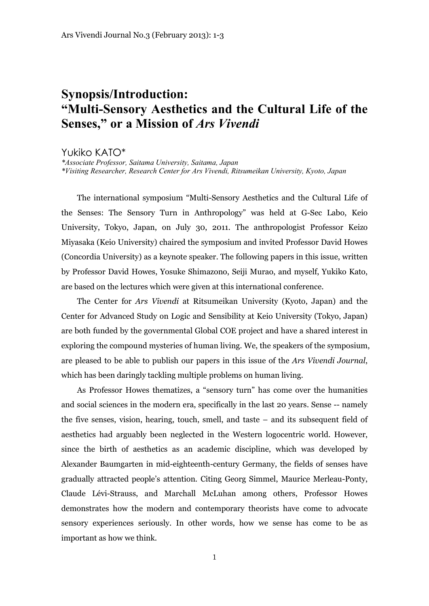## **Synopsis/Introduction: "Multi-Sensory Aesthetics and the Cultural Life of the Senses, " or a Mission of** *Ars Vivendi*

Yukiko KATO\*

*\*Associate Professor, Saitama University, Saitama, Japan \*Visiting Researcher, Research Center for Ars Vivendi, Ritsumeikan University, Kyoto, Japan*

The international symposium "Multi-Sensory Aesthetics and the Cultural Life of the Senses: The Sensory Turn in Anthropology" was held at G-Sec Labo, Keio University, Tokyo, Japan, on July 30, 2011. The anthropologist Professor Keizo Miyasaka (Keio University) chaired the symposium and invited Professor David Howes (Concordia University) as a keynote speaker. The following papers in this issue, written by Professor David Howes, Yosuke Shimazono, Seiji Murao, and myself, Yukiko Kato, are based on the lectures which were given at this international conference.

The Center for *Ars Vivendi* at Ritsumeikan University (Kyoto, Japan) and the Center for Advanced Study on Logic and Sensibility at Keio University (Tokyo, Japan) are both funded by the governmental Global COE project and have a shared interest in exploring the compound mysteries of human living. We, the speakers of the symposium, are pleased to be able to publish our papers in this issue of the *Ars Vivendi Journal*, which has been daringly tackling multiple problems on human living.

As Professor Howes thematizes, a "sensory turn" has come over the humanities and social sciences in the modern era, specifically in the last 20 years. Sense -- namely the five senses, vision, hearing, touch, smell, and taste – and its subsequent field of aesthetics had arguably been neglected in the Western logocentric world. However, since the birth of aesthetics as an academic discipline, which was developed by Alexander Baumgarten in mid-eighteenth-century Germany, the fields of senses have gradually attracted people's attention. Citing Georg Simmel, Maurice Merleau-Ponty, Claude Lévi-Strauss, and Marchall McLuhan among others, Professor Howes demonstrates how the modern and contemporary theorists have come to advocate sensory experiences seriously. In other words, how we sense has come to be as important as how we think.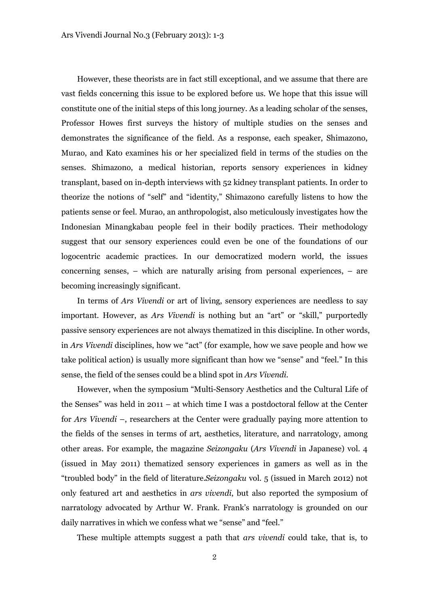However, these theorists are in fact still exceptional, and we assume that there are vast fields concerning this issue to be explored before us. We hope that this issue will constitute one of the initial steps of this long journey. As a leading scholar of the senses, Professor Howes first surveys the history of multiple studies on the senses and demonstrates the significance of the field. As a response, each speaker, Shimazono, Murao, and Kato examines his or her specialized field in terms of the studies on the senses. Shimazono, a medical historian, reports sensory experiences in kidney transplant, based on in-depth interviews with 52 kidney transplant patients. In order to theorize the notions of "self" and "identity," Shimazono carefully listens to how the patients sense or feel. Murao, an anthropologist, also meticulously investigates how the Indonesian Minangkabau people feel in their bodily practices. Their methodology suggest that our sensory experiences could even be one of the foundations of our logocentric academic practices. In our democratized modern world, the issues concerning senses, – which are naturally arising from personal experiences, – are becoming increasingly significant.

In terms of *Ars Vivendi* or art of living, sensory experiences are needless to say important. However, as *Ars Vivendi* is nothing but an "art" or "skill," purportedly passive sensory experiences are not always thematized in this discipline. In other words, in *Ars Vivendi* disciplines, how we "act" (for example, how we save people and how we take political action) is usually more significant than how we "sense" and "feel." In this sense, the field of the senses could be a blind spot in *Ars Vivendi*.

However, when the symposium "Multi-Sensory Aesthetics and the Cultural Life of the Senses" was held in 2011 – at which time I was a postdoctoral fellow at the Center for *Ars Vivendi* –, researchers at the Center were gradually paying more attention to the fields of the senses in terms of art, aesthetics, literature, and narratology, among other areas. For example, the magazine *Seizongaku* (*Ars Vivendi* in Japanese) vol. 4 (issued in May 2011) thematized sensory experiences in gamers as well as in the "troubled body" in the field of literature.*Seizongaku* vol. 5 (issued in March 2012) not only featured art and aesthetics in *ars vivendi*, but also reported the symposium of narratology advocated by Arthur W. Frank. Frank's narratology is grounded on our daily narratives in which we confess what we "sense" and "feel."

These multiple attempts suggest a path that *ars vivendi* could take, that is, to